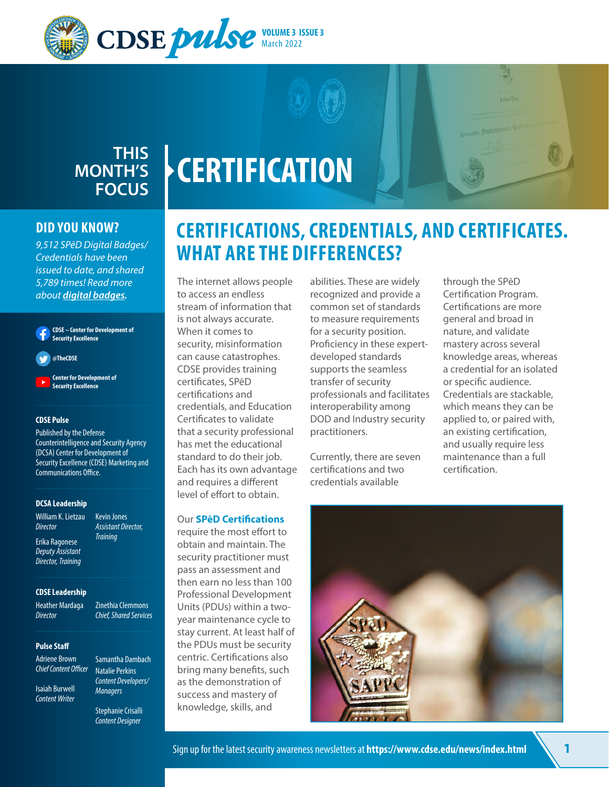



## **CERTIFICATION MONTH'S FOCUS**

## **DID YOU KNOW?**

*9,512 SPēD Digital Badges/ Credentials have been issued to date, and shared 5,789 times! Read more about digital badges.*

**CDSE – Center for Development of Security Excellence**

**@TheCDSE**

**Center for Development of Security Excellence**

#### **CDSE Pulse**

Published by the Defense Counterintelligence and Security Agency (DCSA) Center for Development of Security Excellence (CDSE) Marketing and Communications Office.

#### **DCSA Leadership**

William K. Lietzau Kevin Jones *Director Assistant Director,* 

**Erika Ragonese** *Deputy Assistant Director, Training*

## **CDSE Leadership**

Heather Mardaga Zinethia Clemmons *Director Chief, Shared Services*

**Pulse Staff**

Adriene Brown Samantha Dambach *Chief Content Officer* Natalie Perkins

*Content Developers/* Isaiah Burwell *Managers Content Writer* 

Stephanie Crisalli *Content Designer*

## **CERTIFICATIONS, CREDENTIALS, AND CERTIFICATES. WHAT ARE THE DIFFERENCES?**

The internet allows people to access an endless stream of information that is not always accurate. When it comes to security, misinformation can cause catastrophes. CDSE provides training certificates, SPēD certifications and credentials, and Education Certificates to validate that a security professional has met the educational standard to do their job. Each has its own advantage and requires a different level of effort to obtain.

## Our **[SPēD Certifications](https://www.cdse.edu/Certification/)**

require the most effort to obtain and maintain. The security practitioner must pass an assessment and then earn no less than 100 Professional Development Units (PDUs) within a twoyear maintenance cycle to stay current. At least half of the PDUs must be security centric. Certifications also bring many benefits, such as the demonstration of success and mastery of knowledge, skills, and

abilities. These are widely recognized and provide a common set of standards to measure requirements for a security position. Proficiency in these expertdeveloped standards supports the seamless transfer of security professionals and facilitates interoperability among DOD and Industry security practitioners.

Currently, there are seven certifications and two credentials available

through the SPēD Certification Program. Certifications are more general and broad in nature, and validate mastery across several knowledge areas, whereas a credential for an isolated or specific audience. Credentials are stackable, which means they can be applied to, or paired with, an existing certification, and usually require less maintenance than a full certification.

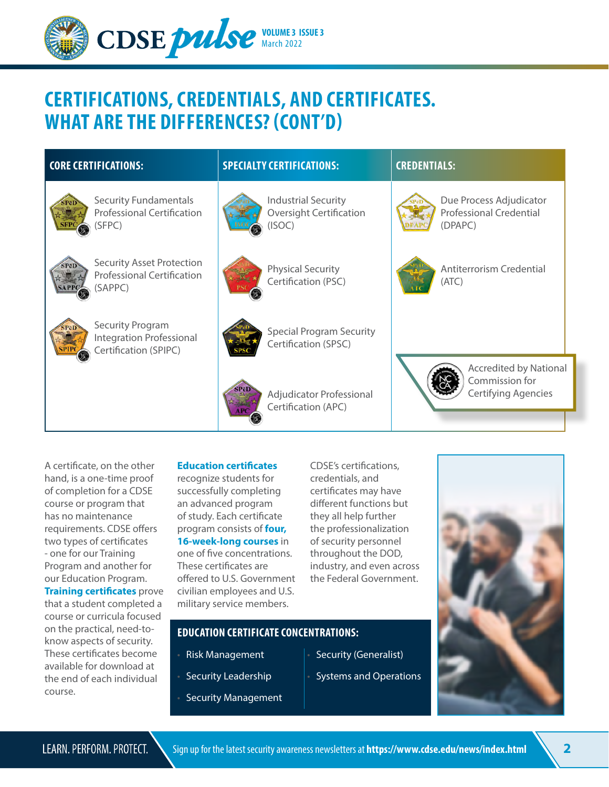

## **CERTIFICATIONS, CREDENTIALS, AND CERTIFICATES. WHAT ARE THE DIFFERENCES? (CONT'D)**

| <b>CORE CERTIFICATIONS:</b>                                                              | <b>SPECIALTY CERTIFICATIONS:</b>                                       | <b>CREDENTIALS:</b>                                                    |
|------------------------------------------------------------------------------------------|------------------------------------------------------------------------|------------------------------------------------------------------------|
| <b>Security Fundamentals</b><br><b>Professional Certification</b><br>(SFPC)              | <b>Industrial Security</b><br><b>Oversight Certification</b><br>(ISOC) | Due Process Adjudicator<br><b>Professional Credential</b><br>(DPAPC)   |
| <b>Security Asset Protection</b><br>SPēD<br><b>Professional Certification</b><br>(SAPPC) | <b>Physical Security</b><br>Certification (PSC)                        | Antiterrorism Credential<br>(ATC)                                      |
| <b>Security Program</b><br><b>Integration Professional</b><br>Certification (SPIPC)      | <b>Special Program Security</b><br>Certification (SPSC)                |                                                                        |
|                                                                                          | Adiudicator Professional                                               | <b>Accredited by National</b><br>Commission for<br>Certifying Agencies |

Certification (APC)

A certificate, on the other hand, is a one-time proof of completion for a CDSE course or program that has no maintenance requirements. CDSE offers two types of certificates - one for our Training Program and another for our Education Program. **[Training certificates](https://www.cdse.edu/Training/)** prove that a student completed a course or curricula focused on the practical, need-toknow aspects of security. These certificates become available for download at the end of each individual course.

## **[Education certificates](https://www.cdse.edu/Education/)**

recognize students for successfully completing an advanced program of study. Each certificate program consists of **[four,](https://www.cdse.edu/Education/Courses/)  [16-week-long courses](https://www.cdse.edu/Education/Courses/)** in one of five concentrations. These certificates are offered to U.S. Government civilian employees and U.S. military service members.

• Risk Management

Security Leadership

• Security Management

**EDUCATION CERTIFICATE CONCENTRATIONS:**

CDSE's certifications, credentials, and certificates may have different functions but they all help further the professionalization of security personnel throughout the DOD, industry, and even across the Federal Government.

Security (Generalist)

• Systems and Operations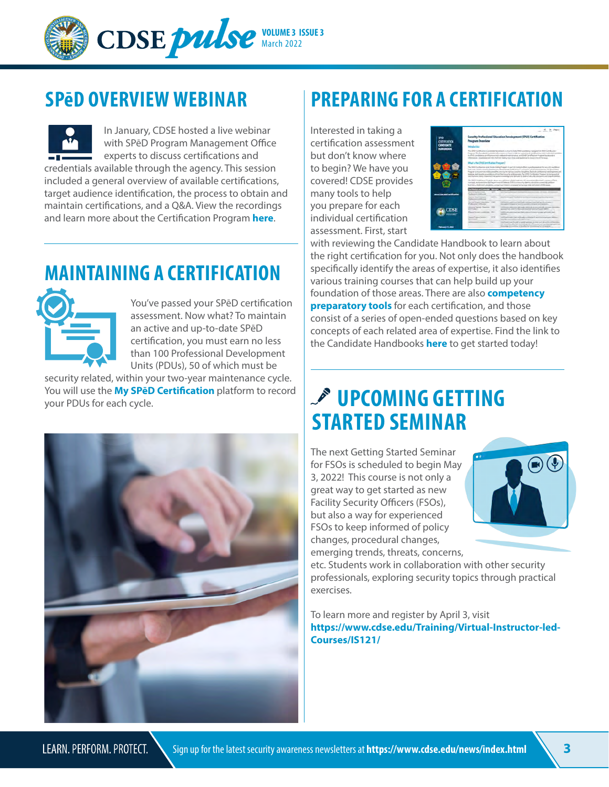

In January, CDSE hosted a live webinar with SPēD Program Management Office experts to discuss certifications and credentials available through the agency. This session included a general overview of available certifications, target audience identification, the process to obtain and maintain certifications, and a Q&A. View the recordings and learn more about the Certification Program **[here](https://www.cdse.edu/Training/Webinars-and-Conferences/Webinar-Archive/SP%C4%93D-Certification-Program-Overview/)**.

## **MAINTAINING A CERTIFICATION**



You've passed your SPēD certification assessment. Now what? To maintain an active and up-to-date SPēD certification, you must earn no less than 100 Professional Development Units (PDUs), 50 of which must be

security related, within your two-year maintenance cycle. You will use the **[My SPēD Certification](https://i7lp.integral7.com/durango/do/login?ownername=dss)** platform to record You will use the My SPeD Certification platform to record  $\sim$  UPCOMING GETTING



## **SPēD OVERVIEW WEBINAR PREPARING FOR A CERTIFICATION**

Interested in taking a certification assessment but don't know where to begin? We have you covered! CDSE provides many tools to help you prepare for each individual certification assessment. First, start

| 960<br><b>CERTIFICATION</b> | <b>Program Overview</b>                                                                                                                                                                                                                          |              | Security Professional Education Development (SPeD) Certification                                                                                                                                                                                                                                                                                                                                                                                                                                                                                                                        |
|-----------------------------|--------------------------------------------------------------------------------------------------------------------------------------------------------------------------------------------------------------------------------------------------|--------------|-----------------------------------------------------------------------------------------------------------------------------------------------------------------------------------------------------------------------------------------------------------------------------------------------------------------------------------------------------------------------------------------------------------------------------------------------------------------------------------------------------------------------------------------------------------------------------------------|
| <b>CANDIDATE</b>            | Introduction                                                                                                                                                                                                                                     |              |                                                                                                                                                                                                                                                                                                                                                                                                                                                                                                                                                                                         |
| <b>HANDBOOK</b>             |                                                                                                                                                                                                                                                  |              | The DND Certification Constitute Handbook is a hurtle help TRID conditions registed for DND Certification<br>Program The bundlasts pointing effortast to how to have a converted on the street and indirected as<br>to \$500 conditions circle attention and content diversifications and findit Carolla attention threatment of<br>information. Conditions said 401 Kighted Kallins for Analyzed buildings for learnings of his area                                                                                                                                                   |
|                             | Wed is the SPED Certification Program?                                                                                                                                                                                                           |              |                                                                                                                                                                                                                                                                                                                                                                                                                                                                                                                                                                                         |
|                             |                                                                                                                                                                                                                                                  |              | The DNO Configuration and Content Laby Program is part 18 Lincoln a attent to professional at the neural meetings of<br>and now settle-court viewtocons demants as both length as convenient at a convenience. To want this<br>Proportive to prestrate manuscraft for a more than agreem awards. But allows the first state and thorough the proportion and<br>makings, and develop a positions of conflict term in an eliminates. The OHS Confidential Transport is increased of<br>institution and contentality ages booking and All online delivines the pulsars and reputabilities. |
|                             |                                                                                                                                                                                                                                                  |              | the ONE of Prints and Trade for an excess a subdivery editors with the of a street in discussion of each company of both<br>consists and conclusion the Canadian or of Tablera EXT2 contracts darked in a first account the authors'<br>Australian Analysis of Australian continues and analysis of the project and analysis of Content of Columns.                                                                                                                                                                                                                                     |
| <b>The Adam Adam Adams</b>  | <b>Act of a Kandian world.</b>                                                                                                                                                                                                                   |              |                                                                                                                                                                                                                                                                                                                                                                                                                                                                                                                                                                                         |
|                             | lacioty Alast Reporting                                                                                                                                                                                                                          | term.        | substituted apply than depend accompany consists and postpartners.                                                                                                                                                                                                                                                                                                                                                                                                                                                                                                                      |
|                             | Seconda Transport Intercondition.<br>the state company's product and                                                                                                                                                                             | <b>START</b> | Onlinearly assistant policies in the department and another program."<br>control time of all building contains a strong of the factories.                                                                                                                                                                                                                                                                                                                                                                                                                                               |
|                             |                                                                                                                                                                                                                                                  |              |                                                                                                                                                                                                                                                                                                                                                                                                                                                                                                                                                                                         |
|                             | <b>Routing Seconds Trustalize</b><br><b>Company's</b>                                                                                                                                                                                            |              | the proposition print a publication of a printers controlled consistents. In<br>and interfalse connect a fluctural extension and enter the following of                                                                                                                                                                                                                                                                                                                                                                                                                                 |
| <b>CDSE</b>                 | <b><i><u>Property Links Communist Communist Communist Communist Communist Communist Communist Communist Communist Communist Communist Communist Communist Communist Communist Communist Communist Communist Communist Communist Comm</u></i></b> |              | Letters are controlled by check forest prompt afroduced<br>the control of the con-                                                                                                                                                                                                                                                                                                                                                                                                                                                                                                      |
|                             | <b>Institut Program Systems</b><br>___                                                                                                                                                                                                           | <b>SHE</b>   | Continued Contact that Andreas and Contact of Contact of Contact Andrews and<br>more procedures and resu-                                                                                                                                                                                                                                                                                                                                                                                                                                                                               |

with reviewing the Candidate Handbook to learn about the right certification for you. Not only does the handbook specifically identify the areas of expertise, it also identifies various training courses that can help build up your foundation of those areas. There are also **[competency](https://www.cdse.edu/Certification/Prepare-for-Certification/)  preparatory tools** for each certification, and those consist of a series of open-ended questions based on key concepts of each related area of expertise. Find the link to the Candidate Handbooks **[here](https://www.cdse.edu/Portals/124/Documents/certification/SPeD_Candidate_Handbook.pdf)** to get started today!

# **STARTED SEMINAR**

The next Getting Started Seminar for FSOs is scheduled to begin May 3, 2022! This course is not only a great way to get started as new Facility Security Officers (FSOs), but also a way for experienced FSOs to keep informed of policy changes, procedural changes, emerging trends, threats, concerns,



etc. Students work in collaboration with other security professionals, exploring security topics through practical exercises.

To learn more and register by April 3, visit **[https://www.cdse.edu/Training/Virtual-Instructor-led-](https://www.cdse.edu/Training/Virtual-Instructor-led-Courses/IS121/)Courses/IS121/**